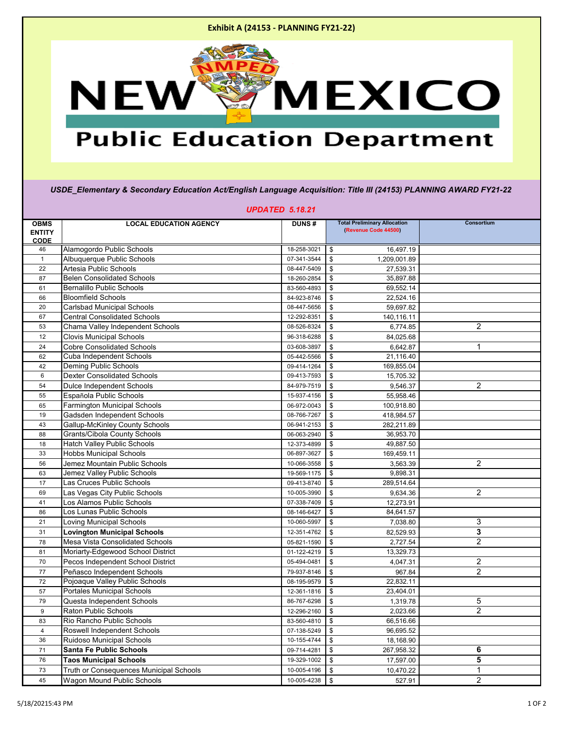

## **Public Education Department**

*USDE\_Elementary & Secondary Education Act/English Language Acquisition: Title III (24153) PLANNING AWARD FY21-22*

| <b>UPDATED 5.18.21</b> |                                                                          |              |                           |                                     |                |  |  |  |
|------------------------|--------------------------------------------------------------------------|--------------|---------------------------|-------------------------------------|----------------|--|--|--|
| <b>OBMS</b>            | <b>LOCAL EDUCATION AGENCY</b>                                            | <b>DUNS#</b> |                           | <b>Total Preliminary Allocation</b> | Consortium     |  |  |  |
| <b>ENTITY</b>          |                                                                          |              |                           | (Revenue Code 44500)                |                |  |  |  |
| <b>CODE</b>            |                                                                          |              |                           |                                     |                |  |  |  |
| 46                     | Alamogordo Public Schools                                                | 18-258-3021  | \$                        | 16,497.19                           |                |  |  |  |
| $\mathbf{1}$           | Albuquerque Public Schools                                               | 07-341-3544  | \$                        | 1,209,001.89                        |                |  |  |  |
| 22                     | Artesia Public Schools                                                   | 08-447-5409  | \$                        | 27,539.31                           |                |  |  |  |
| 87                     | <b>Belen Consolidated Schools</b>                                        | 18-260-2854  | \$                        | 35,897.88                           |                |  |  |  |
| 61                     | <b>Bernalillo Public Schools</b>                                         | 83-560-4893  | \$                        | 69,552.14                           |                |  |  |  |
| 66                     | <b>Bloomfield Schools</b>                                                | 84-923-8746  | \$                        | 22,524.16                           |                |  |  |  |
| 20                     | <b>Carlsbad Municipal Schools</b><br><b>Central Consolidated Schools</b> | 08-447-5656  | \$                        | 59,697.82                           |                |  |  |  |
| 67                     |                                                                          | 12-292-8351  | \$                        | 140,116.11                          |                |  |  |  |
| 53                     | Chama Valley Independent Schools                                         | 08-526-8324  | \$                        | 6,774.85                            | $\overline{2}$ |  |  |  |
| 12                     | <b>Clovis Municipal Schools</b>                                          | 96-318-6288  | \$                        | 84,025.68                           |                |  |  |  |
| 24                     | <b>Cobre Consolidated Schools</b>                                        | 03-608-3897  | \$                        | 6,642.87                            | 1              |  |  |  |
| 62                     | <b>Cuba Independent Schools</b>                                          | 05-442-5566  | \$                        | 21,116.40                           |                |  |  |  |
| 42                     | <b>Deming Public Schools</b>                                             | 09-414-1264  | \$                        | 169,855.04                          |                |  |  |  |
| 6                      | <b>Dexter Consolidated Schools</b>                                       | 09-413-7593  | \$                        | 15,705.32                           |                |  |  |  |
| 54                     | <b>Dulce Independent Schools</b>                                         | 84-979-7519  | \$                        | 9,546.37                            | $\overline{2}$ |  |  |  |
| 55                     | Española Public Schools                                                  | 15-937-4156  | \$                        | 55,958.46                           |                |  |  |  |
| 65                     | <b>Farmington Municipal Schools</b>                                      | 06-972-0043  | \$                        | 100,918.80                          |                |  |  |  |
| 19                     | Gadsden Independent Schools                                              | 08-766-7267  | \$                        | 418,984.57                          |                |  |  |  |
| 43                     | <b>Gallup-McKinley County Schools</b>                                    | 06-941-2153  | $\mathfrak{S}$            | 282,211.89                          |                |  |  |  |
| 88                     | <b>Grants/Cibola County Schools</b>                                      | 06-063-2940  | \$                        | 36,953.70                           |                |  |  |  |
| 18                     | <b>Hatch Valley Public Schools</b>                                       | 12-373-4899  | \$                        | 49,887.50                           |                |  |  |  |
| 33                     | <b>Hobbs Municipal Schools</b>                                           | 06-897-3627  | \$                        | 169,459.11                          |                |  |  |  |
| 56                     | Jemez Mountain Public Schools                                            | 10-066-3558  | \$                        | 3,563.39                            | $\overline{2}$ |  |  |  |
| 63                     | Jemez Valley Public Schools                                              | 19-569-1175  | \$                        | 9,898.31                            |                |  |  |  |
| 17                     | Las Cruces Public Schools                                                | 09-413-8740  | \$                        | 289,514.64                          |                |  |  |  |
| 69                     | Las Vegas City Public Schools                                            | 10-005-3990  | \$                        | 9,634.36                            | $\overline{2}$ |  |  |  |
| 41                     | Los Alamos Public Schools                                                | 07-338-7409  | \$                        | 12,273.91                           |                |  |  |  |
| 86                     | Los Lunas Public Schools                                                 | 08-146-6427  | $\sqrt[6]{2}$             | 84,641.57                           |                |  |  |  |
| 21                     | <b>Loving Municipal Schools</b>                                          | 10-060-5997  | \$                        | 7,038.80                            | 3              |  |  |  |
| 31                     | <b>Lovington Municipal Schools</b>                                       | 12-351-4762  | $\mathfrak{S}$            | 82,529.93                           | 3              |  |  |  |
| 78                     | <b>Mesa Vista Consolidated Schools</b>                                   | 05-821-1590  | $\mathfrak{F}$            | 2,727.54                            | $\overline{2}$ |  |  |  |
| 81                     | Moriarty-Edgewood School District                                        | 01-122-4219  | $\mathfrak{S}$            | 13,329.73                           |                |  |  |  |
| 70                     | Pecos Independent School District                                        | 05-494-0481  | $\mathfrak{F}$            | 4,047.31                            | $\overline{2}$ |  |  |  |
| 77                     | Peñasco Independent Schools                                              | 79-937-8146  | $\mathfrak{S}$            | 967.84                              | $\overline{2}$ |  |  |  |
| 72                     | Pojoaque Valley Public Schools                                           | 08-195-9579  | $\mathfrak{F}$            | 22,832.11                           |                |  |  |  |
| 57                     | <b>Portales Municipal Schools</b>                                        | 12-361-1816  | \$                        | 23,404.01                           |                |  |  |  |
| 79                     | Questa Independent Schools                                               | 86-767-6298  | \$                        | 1,319.78                            | 5              |  |  |  |
| 9                      | <b>Raton Public Schools</b>                                              | 12-296-2160  | \$                        | 2,023.66                            | $\overline{2}$ |  |  |  |
| 83                     | Rio Rancho Public Schools                                                | 83-560-4810  | $\mathfrak{F}$            | 66,516.66                           |                |  |  |  |
| 4                      | <b>Roswell Independent Schools</b>                                       | 07-138-5249  | \$                        | 96,695.52                           |                |  |  |  |
| 36                     | <b>Ruidoso Municipal Schools</b>                                         | 10-155-4744  | \$                        | 18,168.90                           |                |  |  |  |
| 71                     | <b>Santa Fe Public Schools</b>                                           | 09-714-4281  | $\mathfrak{F}$            | 267,958.32                          | 6              |  |  |  |
| 76                     | <b>Taos Municipal Schools</b>                                            | 19-329-1002  | $\boldsymbol{\mathsf{s}}$ | 17,597.00                           | 5              |  |  |  |
| 73                     | Truth or Consequences Municipal Schools                                  | 10-005-4196  | \$                        | 10,470.22                           |                |  |  |  |
| 45                     | <b>Wagon Mound Public Schools</b>                                        | 10-005-4238  | \$                        | 527.91                              | $\overline{2}$ |  |  |  |

## 5/18/20215:43 PM 1 OF 2